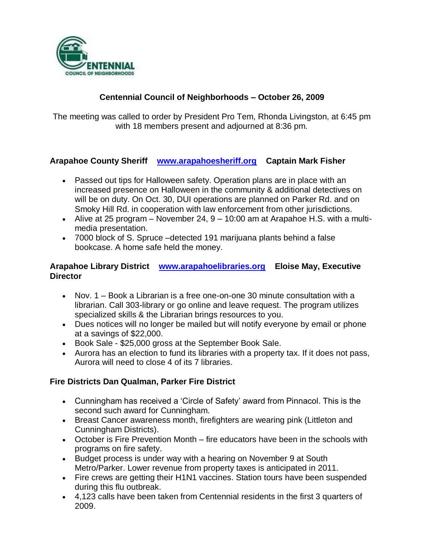

# **Centennial Council of Neighborhoods – October 26, 2009**

The meeting was called to order by President Pro Tem, Rhonda Livingston, at 6:45 pm with 18 members present and adjourned at 8:36 pm.

### **Arapahoe County Sheriff [www.arapahoesheriff.org](http://www.arapahoesheriff.org/) Captain Mark Fisher**

- Passed out tips for Halloween safety. Operation plans are in place with an increased presence on Halloween in the community & additional detectives on will be on duty. On Oct. 30, DUI operations are planned on Parker Rd. and on Smoky Hill Rd. in cooperation with law enforcement from other jurisdictions.
- Alive at 25 program  $-$  November 24,  $9 10:00$  am at Arapahoe H.S. with a multimedia presentation.
- 7000 block of S. Spruce –detected 191 marijuana plants behind a false bookcase. A home safe held the money.

### **Arapahoe Library District [www.arapahoelibraries.org](http://www.arapahoelibraries.org/) Eloise May, Executive Director**

- Nov. 1 Book a Librarian is a free one-on-one 30 minute consultation with a librarian. Call 303-library or go online and leave request. The program utilizes specialized skills & the Librarian brings resources to you.
- Dues notices will no longer be mailed but will notify everyone by email or phone at a savings of \$22,000.
- Book Sale \$25,000 gross at the September Book Sale.
- Aurora has an election to fund its libraries with a property tax. If it does not pass, Aurora will need to close 4 of its 7 libraries.

## **Fire Districts Dan Qualman, Parker Fire District**

- Cunningham has received a 'Circle of Safety' award from Pinnacol. This is the second such award for Cunningham.
- Breast Cancer awareness month, firefighters are wearing pink (Littleton and Cunningham Districts).
- October is Fire Prevention Month fire educators have been in the schools with programs on fire safety.
- Budget process is under way with a hearing on November 9 at South Metro/Parker. Lower revenue from property taxes is anticipated in 2011.
- Fire crews are getting their H1N1 vaccines. Station tours have been suspended during this flu outbreak.
- 4,123 calls have been taken from Centennial residents in the first 3 quarters of 2009.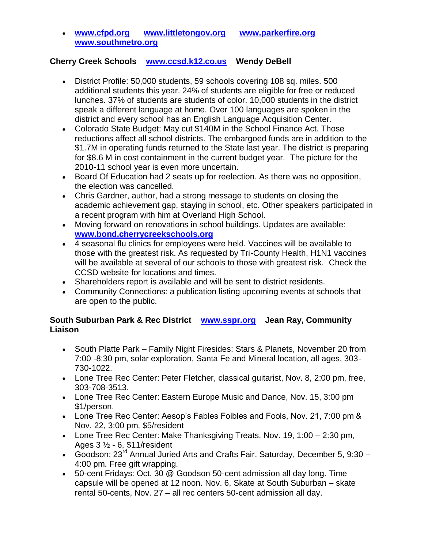**[www.cfpd.org](http://www.cfpd.org/) [www.littletongov.org](http://www.littletongov.org/) [www.parkerfire.org](http://www.parkerfire.org/)  [www.southmetro.org](http://www.southmetro.org/)**

#### **Cherry Creek Schools [www.ccsd.k12.co.us](http://www.ccsd.k12.co.us/) Wendy DeBell**

- District Profile: 50,000 students, 59 schools covering 108 sq. miles. 500 additional students this year. 24% of students are eligible for free or reduced lunches. 37% of students are students of color. 10,000 students in the district speak a different language at home. Over 100 languages are spoken in the district and every school has an English Language Acquisition Center.
- Colorado State Budget: May cut \$140M in the School Finance Act. Those reductions affect all school districts. The embargoed funds are in addition to the \$1.7M in operating funds returned to the State last year. The district is preparing for \$8.6 M in cost containment in the current budget year. The picture for the 2010-11 school year is even more uncertain.
- Board Of Education had 2 seats up for reelection. As there was no opposition, the election was cancelled.
- Chris Gardner, author, had a strong message to students on closing the academic achievement gap, staying in school, etc. Other speakers participated in a recent program with him at Overland High School.
- Moving forward on renovations in school buildings. Updates are available: **[www.bond.cherrycreekschools.org](http://www.bond.cherrycreekschools.org/)**
- 4 seasonal flu clinics for employees were held. Vaccines will be available to those with the greatest risk. As requested by Tri-County Health, H1N1 vaccines will be available at several of our schools to those with greatest risk. Check the CCSD website for locations and times.
- Shareholders report is available and will be sent to district residents.
- Community Connections: a publication listing upcoming events at schools that are open to the public.

## **South Suburban Park & Rec District [www.sspr.org](http://www.sspr.org/) Jean Ray, Community Liaison**

- South Platte Park Family Night Firesides: Stars & Planets, November 20 from 7:00 -8:30 pm, solar exploration, Santa Fe and Mineral location, all ages, 303- 730-1022.
- Lone Tree Rec Center: Peter Fletcher, classical guitarist, Nov. 8, 2:00 pm, free, 303-708-3513.
- Lone Tree Rec Center: Eastern Europe Music and Dance, Nov. 15, 3:00 pm \$1/person.
- Lone Tree Rec Center: Aesop's Fables Foibles and Fools, Nov. 21, 7:00 pm & Nov. 22, 3:00 pm, \$5/resident
- Lone Tree Rec Center: Make Thanksgiving Treats, Nov. 19, 1:00 2:30 pm, Ages 3 ½ - 6, \$11/resident
- Goodson: 23<sup>rd</sup> Annual Juried Arts and Crafts Fair, Saturday, December 5, 9:30 -4:00 pm. Free gift wrapping.
- 50-cent Fridays: Oct. 30 @ Goodson 50-cent admission all day long. Time capsule will be opened at 12 noon. Nov. 6, Skate at South Suburban – skate rental 50-cents, Nov. 27 – all rec centers 50-cent admission all day.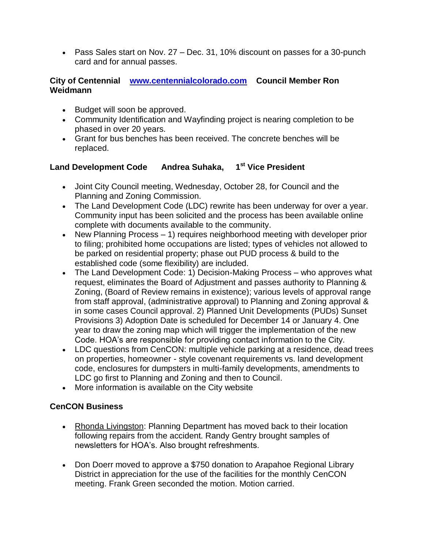Pass Sales start on Nov. 27 – Dec. 31, 10% discount on passes for a 30-punch card and for annual passes.

#### **City of Centennial [www.centennialcolorado.com](http://www.centennialcolorado.com/) Council Member Ron Weidmann**

- Budget will soon be approved.
- Community Identification and Wayfinding project is nearing completion to be phased in over 20 years.
- Grant for bus benches has been received. The concrete benches will be replaced.

## **Land Development Code Andrea Suhaka, 1 st Vice President**

- Joint City Council meeting, Wednesday, October 28, for Council and the Planning and Zoning Commission.
- The Land Development Code (LDC) rewrite has been underway for over a year. Community input has been solicited and the process has been available online complete with documents available to the community.
- New Planning Process  $-1$ ) requires neighborhood meeting with developer prior to filing; prohibited home occupations are listed; types of vehicles not allowed to be parked on residential property; phase out PUD process & build to the established code (some flexibility) are included.
- The Land Development Code: 1) Decision-Making Process who approves what request, eliminates the Board of Adjustment and passes authority to Planning & Zoning, (Board of Review remains in existence); various levels of approval range from staff approval, (administrative approval) to Planning and Zoning approval & in some cases Council approval. 2) Planned Unit Developments (PUDs) Sunset Provisions 3) Adoption Date is scheduled for December 14 or January 4. One year to draw the zoning map which will trigger the implementation of the new Code. HOA's are responsible for providing contact information to the City.
- LDC questions from CenCON: multiple vehicle parking at a residence, dead trees on properties, homeowner - style covenant requirements vs. land development code, enclosures for dumpsters in multi-family developments, amendments to LDC go first to Planning and Zoning and then to Council.
- More information is available on the City website

## **CenCON Business**

- Rhonda Livingston: Planning Department has moved back to their location following repairs from the accident. Randy Gentry brought samples of newsletters for HOA's. Also brought refreshments.
- Don Doerr moved to approve a \$750 donation to Arapahoe Regional Library District in appreciation for the use of the facilities for the monthly CenCON meeting. Frank Green seconded the motion. Motion carried.